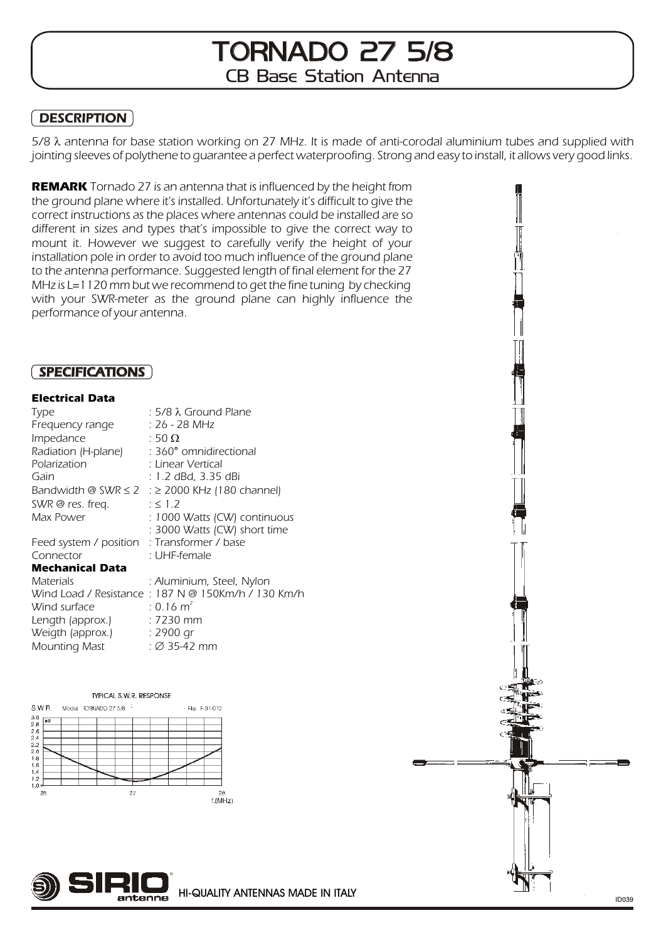# TORNADO 27 5/8 CB Base Station Antenna

#### **DESCRIPTION**  $\overline{\phantom{0}}$

5/8 antenna for base station working on 27 MHz. It is made of anti-corodal aluminium tubes and supplied with jointing sleeves of polythene to guarantee a perfect waterproofing. Strong and easy to install, it allows very good links.

**REMARK** Tornado 27 is an antenna that is influenced by the height from the ground plane where it's installed. Unfortunately it's difficult to give the correct instructions as the places where antennas could be installed are so different in sizes and types that's impossible to give the correct way to mount it. However we suggest to carefully verify the height of your installation pole in order to avoid too much influence of the ground plane to the antenna performance. Suggested length of final element for the 27 MHz is L=1120 mm but we recommend to get the fine tuning by checking with your SWR-meter as the ground plane can highly influence the performance of your antenna.

## SPECIFICATIONS

### **Electrical Data**

| Type                                        | : 5/8 Ground Plane                                 |
|---------------------------------------------|----------------------------------------------------|
| Frequency range                             | : 26 - 28 MHz                                      |
| Impedance                                   | : 50                                               |
| Radiation (H-plane)                         | : 360° omnidirectional                             |
| Polarization                                | : Linear Vertical                                  |
| Gain                                        | : 1.2 dBd, 3.35 dBi                                |
| Bandwidth @ SWR $\,$ 2 $\,$ :               | 2000 KHz (180 channel)                             |
| SWR @ res. freq.                            | $\therefore$ 1.2                                   |
| Max Power                                   | : 1000 Watts (CW) continuous                       |
|                                             | : 3000 Watts (CW) short time                       |
| Feed system / position : Transformer / base |                                                    |
| Connector                                   | : UHF-female                                       |
| <b>Mechanical Data</b>                      |                                                    |
| Materials                                   | : Aluminium, Steel, Nylon                          |
|                                             | Wind Load / Resistance: 187 N @ 150Km/h / 130 Km/h |
| Wind surface                                | $: 0.16$ m <sup>2</sup>                            |
| Length (approx.)                            | : 7230 mm                                          |
| Weigth (approx.)                            | : 2900 gr                                          |
| <b>Mounting Mast</b>                        | $\therefore$ 35-42 mm                              |

#### TYPICAL S.W.R. RESPONSE